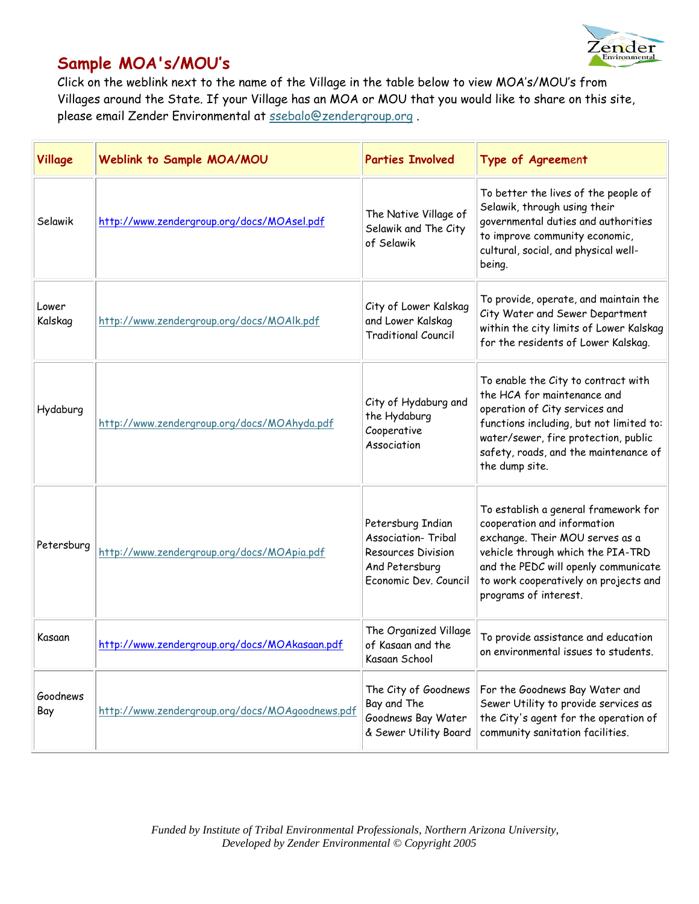

## **Sample MOA's/MOU's**

Click on the weblink next to the name of the Village in the table below to view MOA's/MOU's from Villages around the State. If your Village has an MOA or MOU that you would like to share on this site, please email Zender Environmental at ssebalo@zendergroup.org .

| Village          | Weblink to Sample MOA/MOU                       | <b>Parties Involved</b>                                                                                          | Type of Agreement                                                                                                                                                                                                                                     |
|------------------|-------------------------------------------------|------------------------------------------------------------------------------------------------------------------|-------------------------------------------------------------------------------------------------------------------------------------------------------------------------------------------------------------------------------------------------------|
| Selawik          | http://www.zendergroup.org/docs/MOAsel.pdf      | The Native Village of<br>Selawik and The City<br>of Selawik                                                      | To better the lives of the people of<br>Selawik, through using their<br>governmental duties and authorities<br>to improve community economic,<br>cultural, social, and physical well-<br>being.                                                       |
| Lower<br>Kalskag | http://www.zendergroup.org/docs/MOAlk.pdf       | City of Lower Kalskag<br>and Lower Kalskag<br><b>Traditional Council</b>                                         | To provide, operate, and maintain the<br>City Water and Sewer Department<br>within the city limits of Lower Kalskag<br>for the residents of Lower Kalskag.                                                                                            |
| Hydaburg         | http://www.zendergroup.org/docs/MOAhyda.pdf     | City of Hydaburg and<br>the Hydaburg<br>Cooperative<br>Association                                               | To enable the City to contract with<br>the HCA for maintenance and<br>operation of City services and<br>functions including, but not limited to:<br>water/sewer, fire protection, public<br>safety, roads, and the maintenance of<br>the dump site.   |
| Petersburg       | http://www.zendergroup.org/docs/MOApia.pdf      | Petersburg Indian<br><b>Association- Tribal</b><br>Resources Division<br>And Petersburg<br>Economic Dev. Council | To establish a general framework for<br>cooperation and information<br>exchange. Their MOU serves as a<br>vehicle through which the PIA-TRD<br>and the PEDC will openly communicate<br>to work cooperatively on projects and<br>programs of interest. |
| Kasaan           | http://www.zendergroup.org/docs/MOAkasaan.pdf   | The Organized Village<br>of Kasaan and the<br>Kasaan School                                                      | To provide assistance and education<br>on environmental issues to students.                                                                                                                                                                           |
| Goodnews<br>Bay  | http://www.zendergroup.org/docs/MOAgoodnews.pdf | The City of Goodnews<br>Bay and The<br>Goodnews Bay Water<br>& Sewer Utility Board                               | For the Goodnews Bay Water and<br>Sewer Utility to provide services as<br>the City's agent for the operation of<br>community sanitation facilities.                                                                                                   |